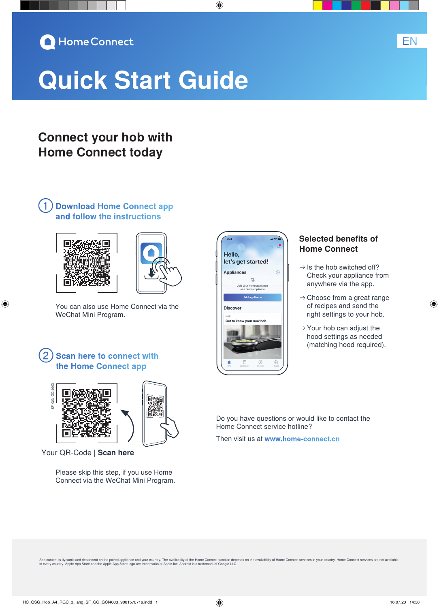

# **Quick Start Guide**

# **Connect your hob with Home Connect today**

# ①**Download Home Connect app and follow the instructions**



⊕



You can also use Home Connect via the WeChat Mini Program.

## **Scan here to connect with the Home Connect app**



Your QR-Code | **Scan here**

Please skip this step, if you use Home Connect via the WeChat Mini Program.



◈

#### **Selected benefits of Home Connect**

EN

◈

- $\rightarrow$  Is the hob switched off? Check your appliance from anywhere via the app.
- $\rightarrow$  Choose from a great range of recipes and send the right settings to your hob.
- $\rightarrow$  Your hob can adjust the hood settings as needed (matching hood required).

Do you have questions or would like to contact the Home Connect service hotline?

Then visit us at **www.home-connect.cn**

App content is dynamic and dependent on the paired appliance and your country. The availability of the Home Connect function depends on the availability of Home Connect services in your country. Home Connect services are n